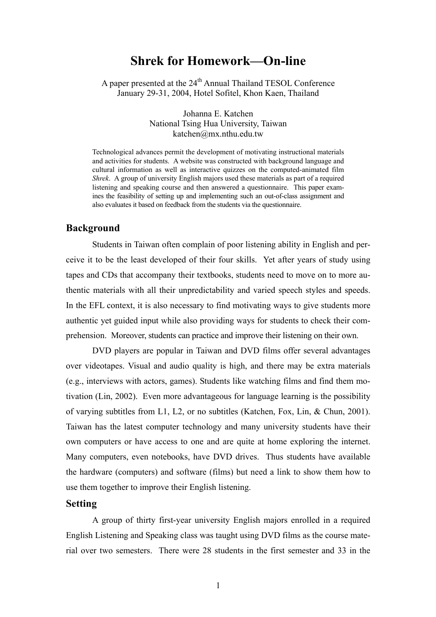# **Shrek for Homework—On-line**

A paper presented at the 24<sup>th</sup> Annual Thailand TESOL Conference January 29-31, 2004, Hotel Sofitel, Khon Kaen, Thailand

> Johanna E. Katchen National Tsing Hua University, Taiwan katchen@mx.nthu.edu.tw

Technological advances permit the development of motivating instructional materials and activities for students. A website was constructed with background language and cultural information as well as interactive quizzes on the computed-animated film *Shrek*. A group of university English majors used these materials as part of a required listening and speaking course and then answered a questionnaire. This paper examines the feasibility of setting up and implementing such an out-of-class assignment and also evaluates it based on feedback from the students via the questionnaire.

#### **Background**

Students in Taiwan often complain of poor listening ability in English and perceive it to be the least developed of their four skills. Yet after years of study using tapes and CDs that accompany their textbooks, students need to move on to more authentic materials with all their unpredictability and varied speech styles and speeds. In the EFL context, it is also necessary to find motivating ways to give students more authentic yet guided input while also providing ways for students to check their comprehension. Moreover, students can practice and improve their listening on their own.

DVD players are popular in Taiwan and DVD films offer several advantages over videotapes. Visual and audio quality is high, and there may be extra materials (e.g., interviews with actors, games). Students like watching films and find them motivation (Lin, 2002). Even more advantageous for language learning is the possibility of varying subtitles from L1, L2, or no subtitles (Katchen, Fox, Lin, & Chun, 2001). Taiwan has the latest computer technology and many university students have their own computers or have access to one and are quite at home exploring the internet. Many computers, even notebooks, have DVD drives. Thus students have available the hardware (computers) and software (films) but need a link to show them how to use them together to improve their English listening.

#### **Setting**

A group of thirty first-year university English majors enrolled in a required English Listening and Speaking class was taught using DVD films as the course material over two semesters. There were 28 students in the first semester and 33 in the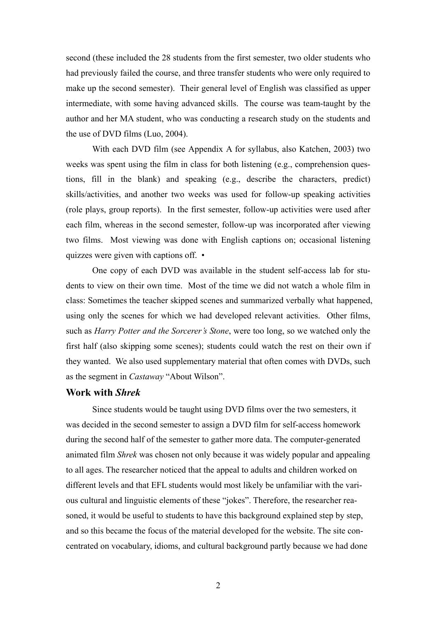second (these included the 28 students from the first semester, two older students who had previously failed the course, and three transfer students who were only required to make up the second semester). Their general level of English was classified as upper intermediate, with some having advanced skills. The course was team-taught by the author and her MA student, who was conducting a research study on the students and the use of DVD films (Luo, 2004).

With each DVD film (see Appendix A for syllabus, also Katchen, 2003) two weeks was spent using the film in class for both listening (e.g., comprehension questions, fill in the blank) and speaking (e.g., describe the characters, predict) skills/activities, and another two weeks was used for follow-up speaking activities (role plays, group reports). In the first semester, follow-up activities were used after each film, whereas in the second semester, follow-up was incorporated after viewing two films. Most viewing was done with English captions on; occasional listening quizzes were given with captions off. •

One copy of each DVD was available in the student self-access lab for students to view on their own time. Most of the time we did not watch a whole film in class: Sometimes the teacher skipped scenes and summarized verbally what happened, using only the scenes for which we had developed relevant activities. Other films, such as *Harry Potter and the Sorcerer's Stone*, were too long, so we watched only the first half (also skipping some scenes); students could watch the rest on their own if they wanted. We also used supplementary material that often comes with DVDs, such as the segment in *Castaway* "About Wilson".

#### **Work with** *Shrek*

Since students would be taught using DVD films over the two semesters, it was decided in the second semester to assign a DVD film for self-access homework during the second half of the semester to gather more data. The computer-generated animated film *Shrek* was chosen not only because it was widely popular and appealing to all ages. The researcher noticed that the appeal to adults and children worked on different levels and that EFL students would most likely be unfamiliar with the various cultural and linguistic elements of these "jokes". Therefore, the researcher reasoned, it would be useful to students to have this background explained step by step, and so this became the focus of the material developed for the website. The site concentrated on vocabulary, idioms, and cultural background partly because we had done

2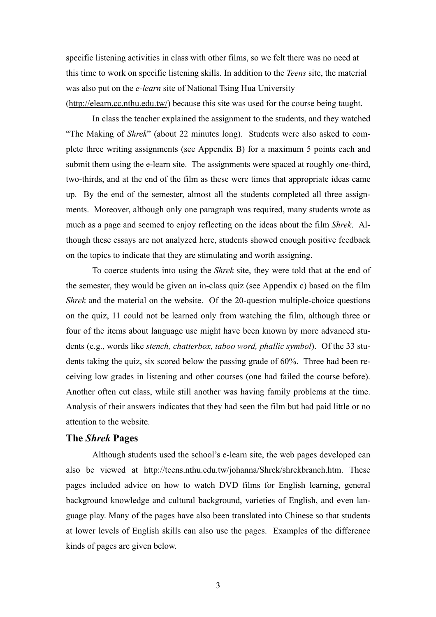specific listening activities in class with other films, so we felt there was no need at this time to work on specific listening skills. In addition to the *Teens* site, the material was also put on the *e-learn* site of National Tsing Hua University (http://elearn.cc.nthu.edu.tw/) because this site was used for the course being taught.

 In class the teacher explained the assignment to the students, and they watched "The Making of *Shrek*" (about 22 minutes long). Students were also asked to complete three writing assignments (see Appendix B) for a maximum 5 points each and submit them using the e-learn site. The assignments were spaced at roughly one-third, two-thirds, and at the end of the film as these were times that appropriate ideas came up. By the end of the semester, almost all the students completed all three assignments. Moreover, although only one paragraph was required, many students wrote as much as a page and seemed to enjoy reflecting on the ideas about the film *Shrek*. Although these essays are not analyzed here, students showed enough positive feedback on the topics to indicate that they are stimulating and worth assigning.

 To coerce students into using the *Shrek* site, they were told that at the end of the semester, they would be given an in-class quiz (see Appendix c) based on the film *Shrek* and the material on the website. Of the 20-question multiple-choice questions on the quiz, 11 could not be learned only from watching the film, although three or four of the items about language use might have been known by more advanced students (e.g., words like *stench, chatterbox, taboo word, phallic symbol*).Of the 33 students taking the quiz, six scored below the passing grade of 60%. Three had been receiving low grades in listening and other courses (one had failed the course before). Another often cut class, while still another was having family problems at the time. Analysis of their answers indicates that they had seen the film but had paid little or no attention to the website.

#### **The** *Shrek* **Pages**

Although students used the school's e-learn site, the web pages developed can also be viewed at http://teens.nthu.edu.tw/johanna/Shrek/shrekbranch.htm. These pages included advice on how to watch DVD films for English learning, general background knowledge and cultural background, varieties of English, and even language play. Many of the pages have also been translated into Chinese so that students at lower levels of English skills can also use the pages. Examples of the difference kinds of pages are given below.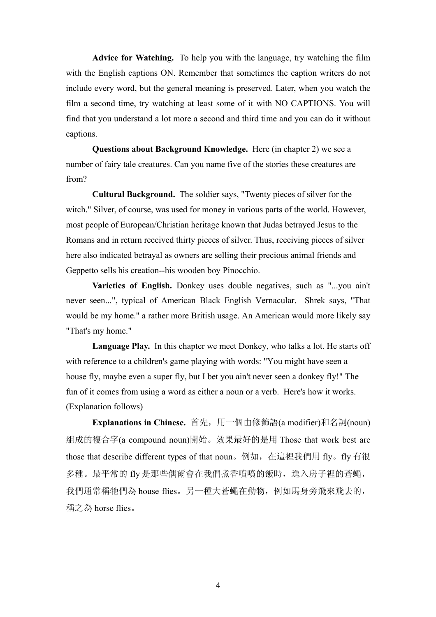**Advice for Watching.** To help you with the language, try watching the film with the English captions ON. Remember that sometimes the caption writers do not include every word, but the general meaning is preserved. Later, when you watch the film a second time, try watching at least some of it with NO CAPTIONS. You will find that you understand a lot more a second and third time and you can do it without captions.

**Questions about Background Knowledge.** Here (in chapter 2) we see a number of fairy tale creatures. Can you name five of the stories these creatures are from?

**Cultural Background.** The soldier says, "Twenty pieces of silver for the witch." Silver, of course, was used for money in various parts of the world. However, most people of European/Christian heritage known that Judas betrayed Jesus to the Romans and in return received thirty pieces of silver. Thus, receiving pieces of silver here also indicated betrayal as owners are selling their precious animal friends and Geppetto sells his creation--his wooden boy Pinocchio.

**Varieties of English.** Donkey uses double negatives, such as "...you ain't never seen...", typical of American Black English Vernacular. Shrek says, "That would be my home." a rather more British usage. An American would more likely say "That's my home."

**Language Play.** In this chapter we meet Donkey, who talks a lot. He starts off with reference to a children's game playing with words: "You might have seen a house fly, maybe even a super fly, but I bet you ain't never seen a donkey fly!" The fun of it comes from using a word as either a noun or a verb. Here's how it works. (Explanation follows)

**Explanations in Chinese.** 首先,用一個由修飾語(a modifier)和名詞(noun) 組成的複合字(a compound noun)開始。效果最好的是用 Those that work best are those that describe different types of that noun。例如, 在這裡我們用 fly。fly 有很 多種。最平常的 fly 是那些偶爾會在我們煮香噴噴的飯時,進入房子裡的蒼蠅, 我們通常稱牠們為 house flies。另一種大蒼蠅在動物,例如馬身旁飛來飛去的, 稱之為 horse flies。

4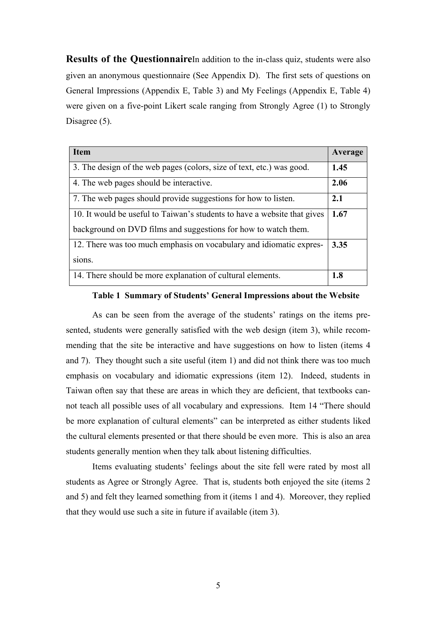**Results of the Questionnaire**In addition to the in-class quiz, students were also given an anonymous questionnaire (See Appendix D). The first sets of questions on General Impressions (Appendix E, Table 3) and My Feelings (Appendix E, Table 4) were given on a five-point Likert scale ranging from Strongly Agree (1) to Strongly Disagree (5).

| <b>Item</b>                                                              | Average |
|--------------------------------------------------------------------------|---------|
| 3. The design of the web pages (colors, size of text, etc.) was good.    | 1.45    |
| 4. The web pages should be interactive.                                  | 2.06    |
| 7. The web pages should provide suggestions for how to listen.           | 2.1     |
| 10. It would be useful to Taiwan's students to have a website that gives | 1.67    |
| background on DVD films and suggestions for how to watch them.           |         |
| 12. There was too much emphasis on vocabulary and idiomatic expres-      | 3.35    |
| sions.                                                                   |         |
| 14. There should be more explanation of cultural elements.               | 1.8     |

### **Table 1 Summary of Students' General Impressions about the Website**

As can be seen from the average of the students' ratings on the items presented, students were generally satisfied with the web design (item 3), while recommending that the site be interactive and have suggestions on how to listen (items 4 and 7). They thought such a site useful (item 1) and did not think there was too much emphasis on vocabulary and idiomatic expressions (item 12). Indeed, students in Taiwan often say that these are areas in which they are deficient, that textbooks cannot teach all possible uses of all vocabulary and expressions. Item 14 "There should be more explanation of cultural elements" can be interpreted as either students liked the cultural elements presented or that there should be even more. This is also an area students generally mention when they talk about listening difficulties.

Items evaluating students' feelings about the site fell were rated by most all students as Agree or Strongly Agree. That is, students both enjoyed the site (items 2 and 5) and felt they learned something from it (items 1 and 4). Moreover, they replied that they would use such a site in future if available (item 3).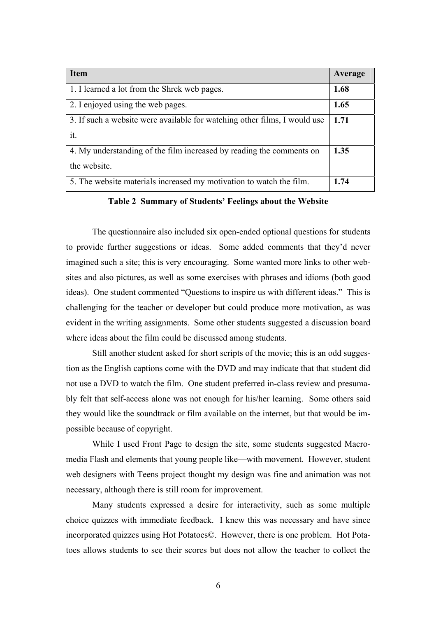| <b>Item</b>                                                               | Average |
|---------------------------------------------------------------------------|---------|
| 1. I learned a lot from the Shrek web pages.                              | 1.68    |
| 2. I enjoyed using the web pages.                                         | 1.65    |
| 3. If such a website were available for watching other films, I would use | 1.71    |
| it.                                                                       |         |
| 4. My understanding of the film increased by reading the comments on      | 1.35    |
| the website.                                                              |         |
| 5. The website materials increased my motivation to watch the film.       | 1.74    |

**Table 2 Summary of Students' Feelings about the Website** 

The questionnaire also included six open-ended optional questions for students to provide further suggestions or ideas. Some added comments that they'd never imagined such a site; this is very encouraging. Some wanted more links to other websites and also pictures, as well as some exercises with phrases and idioms (both good ideas). One student commented "Questions to inspire us with different ideas." This is challenging for the teacher or developer but could produce more motivation, as was evident in the writing assignments. Some other students suggested a discussion board where ideas about the film could be discussed among students.

Still another student asked for short scripts of the movie; this is an odd suggestion as the English captions come with the DVD and may indicate that that student did not use a DVD to watch the film. One student preferred in-class review and presumably felt that self-access alone was not enough for his/her learning. Some others said they would like the soundtrack or film available on the internet, but that would be impossible because of copyright.

 While I used Front Page to design the site, some students suggested Macromedia Flash and elements that young people like—with movement. However, student web designers with Teens project thought my design was fine and animation was not necessary, although there is still room for improvement.

 Many students expressed a desire for interactivity, such as some multiple choice quizzes with immediate feedback. I knew this was necessary and have since incorporated quizzes using Hot Potatoes©. However, there is one problem. Hot Potatoes allows students to see their scores but does not allow the teacher to collect the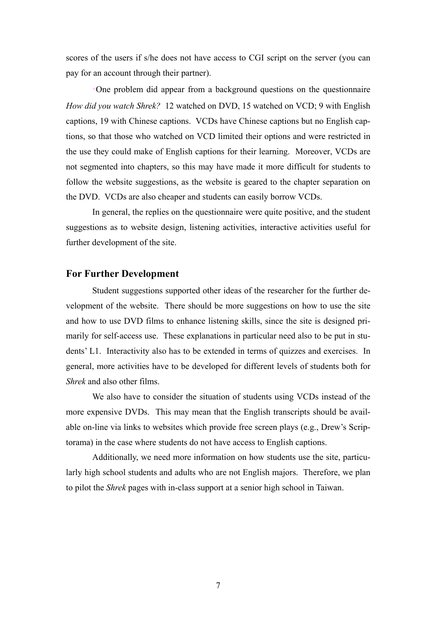scores of the users if s/he does not have access to CGI script on the server (you can pay for an account through their partner).

•One problem did appear from a background questions on the questionnaire *How did you watch Shrek?* 12 watched on DVD, 15 watched on VCD; 9 with English captions, 19 with Chinese captions. VCDs have Chinese captions but no English captions, so that those who watched on VCD limited their options and were restricted in the use they could make of English captions for their learning. Moreover, VCDs are not segmented into chapters, so this may have made it more difficult for students to follow the website suggestions, as the website is geared to the chapter separation on the DVD. VCDs are also cheaper and students can easily borrow VCDs.

In general, the replies on the questionnaire were quite positive, and the student suggestions as to website design, listening activities, interactive activities useful for further development of the site.

#### **For Further Development**

 Student suggestions supported other ideas of the researcher for the further development of the website. There should be more suggestions on how to use the site and how to use DVD films to enhance listening skills, since the site is designed primarily for self-access use. These explanations in particular need also to be put in students' L1. Interactivity also has to be extended in terms of quizzes and exercises. In general, more activities have to be developed for different levels of students both for *Shrek* and also other films.

 We also have to consider the situation of students using VCDs instead of the more expensive DVDs. This may mean that the English transcripts should be available on-line via links to websites which provide free screen plays (e.g., Drew's Scriptorama) in the case where students do not have access to English captions.

 Additionally, we need more information on how students use the site, particularly high school students and adults who are not English majors. Therefore, we plan to pilot the *Shrek* pages with in-class support at a senior high school in Taiwan.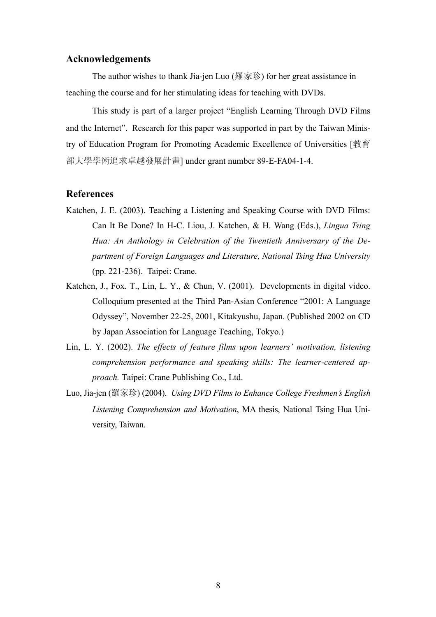### **Acknowledgements**

The author wishes to thank Jia-jen Luo (羅家珍) for her great assistance in teaching the course and for her stimulating ideas for teaching with DVDs.

• This study is part of a larger project "English Learning Through DVD Films and the Internet". Research for this paper was supported in part by the Taiwan Ministry of Education Program for Promoting Academic Excellence of Universities [教育 部大學學術追求卓越發展計畫] under grant number 89-E-FA04-1-4.

#### **References**

- Katchen, J. E. (2003). Teaching a Listening and Speaking Course with DVD Films: Can It Be Done? In H-C. Liou, J. Katchen, & H. Wang (Eds.), *Lingua Tsing Hua: An Anthology in Celebration of the Twentieth Anniversary of the Department of Foreign Languages and Literature, National Tsing Hua University*  (pp. 221-236). Taipei: Crane.
- Katchen, J., Fox. T., Lin, L. Y., & Chun, V. (2001). Developments in digital video. Colloquium presented at the Third Pan-Asian Conference "2001: A Language Odyssey", November 22-25, 2001, Kitakyushu, Japan. (Published 2002 on CD by Japan Association for Language Teaching, Tokyo.)
- Lin, L. Y. (2002). *The effects of feature films upon learners' motivation, listening comprehension performance and speaking skills: The learner-centered approach.* Taipei: Crane Publishing Co., Ltd.
- Luo, Jia-jen (羅家珍) (2004). *Using DVD Films to Enhance College Freshmen's English Listening Comprehension and Motivation*, MA thesis, National Tsing Hua University, Taiwan.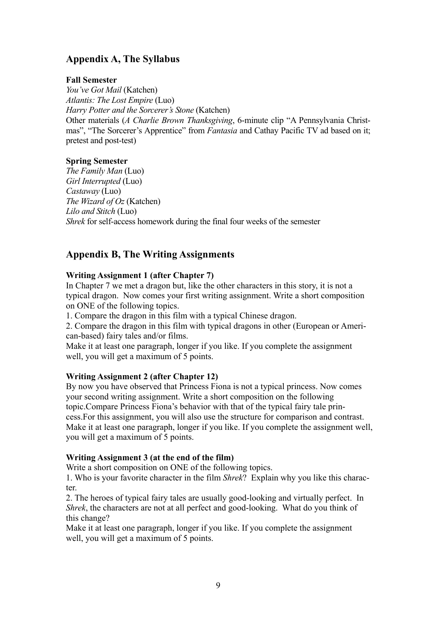# **Appendix A, The Syllabus**

### **Fall Semester**

*You've Got Mail* (Katchen) *Atlantis: The Lost Empire* (Luo) *Harry Potter and the Sorcerer's Stone* (Katchen) Other materials (*A Charlie Brown Thanksgiving*, 6-minute clip "A Pennsylvania Christmas", "The Sorcerer's Apprentice" from *Fantasia* and Cathay Pacific TV ad based on it; pretest and post-test)

### **Spring Semester**

*The Family Man* (Luo) *Girl Interrupted* (Luo) *Castaway* (Luo) *The Wizard of Oz* (Katchen) *Lilo and Stitch* (Luo) *Shrek* for self-access homework during the final four weeks of the semester

## **Appendix B, The Writing Assignments**

### **Writing Assignment 1 (after Chapter 7)**

In Chapter 7 we met a dragon but, like the other characters in this story, it is not a typical dragon. Now comes your first writing assignment. Write a short composition on ONE of the following topics.

1. Compare the dragon in this film with a typical Chinese dragon.

2. Compare the dragon in this film with typical dragons in other (European or American-based) fairy tales and/or films.

Make it at least one paragraph, longer if you like. If you complete the assignment well, you will get a maximum of 5 points.

## **Writing Assignment 2 (after Chapter 12)**

By now you have observed that Princess Fiona is not a typical princess. Now comes your second writing assignment. Write a short composition on the following topic.Compare Princess Fiona's behavior with that of the typical fairy tale princess.For this assignment, you will also use the structure for comparison and contrast. Make it at least one paragraph, longer if you like. If you complete the assignment well, you will get a maximum of 5 points.

## **Writing Assignment 3 (at the end of the film)**

Write a short composition on ONE of the following topics.

1. Who is your favorite character in the film *Shrek*? Explain why you like this character.

2. The heroes of typical fairy tales are usually good-looking and virtually perfect. In *Shrek*, the characters are not at all perfect and good-looking. What do you think of this change?

Make it at least one paragraph, longer if you like. If you complete the assignment well, you will get a maximum of 5 points.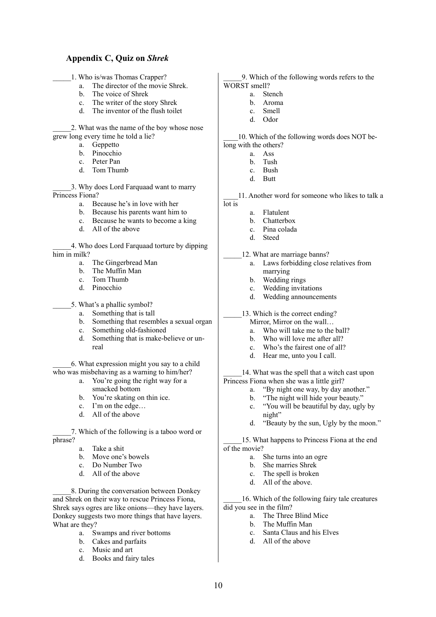#### **Appendix C, Quiz on** *Shrek*

- \_\_\_\_\_1. Who is/was Thomas Crapper?
	- a. The director of the movie Shrek.
	- b. The voice of Shrek
	- c. The writer of the story Shrek
	- d. The inventor of the flush toilet

\_\_\_\_\_2. What was the name of the boy whose nose grew long every time he told a lie?

- a. Geppetto
- b. Pinocchio
- c. Peter Pan
- d. Tom Thumb

\_\_\_\_\_3. Why does Lord Farquaad want to marry Princess Fiona?

- a. Because he's in love with her
- b. Because his parents want him to
- c. Because he wants to become a king
- d. All of the above

\_\_\_\_\_4. Who does Lord Farquaad torture by dipping him in milk?

- a. The Gingerbread Man
- b. The Muffin Man
- c. Tom Thumb
- d. Pinocchio

5. What's a phallic symbol?

- a. Something that is tall
- b. Something that resembles a sexual organ
- c. Something old-fashioned
- d. Something that is make-believe or unreal

\_\_\_\_\_6. What expression might you say to a child who was misbehaving as a warning to him/her?

- a. You're going the right way for a smacked bottom
	- b. You're skating on thin ice.<br>c. I'm on the edge.
	- I'm on the edge...
	- d. All of the above

\_\_\_\_\_7. Which of the following is a taboo word or phrase?

- a. Take a shit
- b. Move one's bowels
- c. Do Number Two
- d. All of the above

\_\_\_\_\_8. During the conversation between Donkey and Shrek on their way to rescue Princess Fiona, Shrek says ogres are like onions—they have layers. Donkey suggests two more things that have layers. What are they?

- a. Swamps and river bottoms
- b. Cakes and parfaits<br>c. Music and art
- Music and art
- d. Books and fairy tales

\_\_\_\_\_9. Which of the following words refers to the WORST smell?

- a. Stench
	- b. Aroma
	- c. Smell
	- d. Odor

10. Which of the following words does NOT belong with the others?

- a. Ass
- b. Tush
- c. Bush
- d. Butt

11. Another word for someone who likes to talk a lot is

- a. Flatulent
- b. Chatterbox
- c. Pina colada
- d. Steed

12. What are marriage banns?

- a. Laws forbidding close relatives from marrying
- b. Wedding rings
- c. Wedding invitations
- d. Wedding announcements

13. Which is the correct ending?

- Mirror, Mirror on the wall…
- a. Who will take me to the ball?
- b. Who will love me after all?
- c. Who's the fairest one of all?
- d. Hear me, unto you I call.

14. What was the spell that a witch cast upon Princess Fiona when she was a little girl?

- a. "By night one way, by day another."
- b. "The night will hide your beauty."
- c. "You will be beautiful by day, ugly by night"
- d. "Beauty by the sun, Ugly by the moon."

\_\_\_\_\_15. What happens to Princess Fiona at the end of the movie?

- a. She turns into an ogre
- b. She marries Shrek
- c. The spell is broken
- d. All of the above.

16. Which of the following fairy tale creatures did you see in the film?

- a. The Three Blind Mice
- b. The Muffin Man
- c. Santa Claus and his Elves
- d. All of the above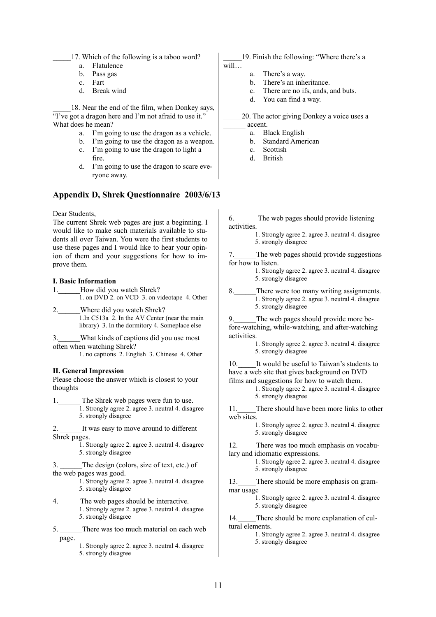17. Which of the following is a taboo word?

- a. Flatulence
- b. Pass gas
- c. Fart
- d. Break wind

18. Near the end of the film, when Donkey says, "I've got a dragon here and I'm not afraid to use it." What does he mean?

- a. I'm going to use the dragon as a vehicle.
- b. I'm going to use the dragon as a weapon.
- c. I'm going to use the dragon to light a fire.
- d. I'm going to use the dragon to scare everyone away.

#### **Appendix D, Shrek Questionnaire 2003/6/13**

Dear Students,

The current Shrek web pages are just a beginning. I would like to make such materials available to students all over Taiwan. You were the first students to use these pages and I would like to hear your opinion of them and your suggestions for how to improve them.

#### **I. Basic Information**

1. How did you watch Shrek? 1. on DVD 2. on VCD 3. on videotape 4. Other

- 2. Where did you watch Shrek? 1.In C513a 2. In the AV Center (near the main library) 3. In the dormitory 4. Someplace else
- 3.\_\_\_\_\_\_What kinds of captions did you use most often when watching Shrek?

1. no captions 2. English 3. Chinese 4. Other

#### **II. General Impression**

Please choose the answer which is closest to your thoughts

1. The Shrek web pages were fun to use. 1. Strongly agree 2. agree 3. neutral 4. disagree 5. strongly disagree

2. It was easy to move around to different Shrek pages.

1. Strongly agree 2. agree 3. neutral 4. disagree 5. strongly disagree

3. \_\_\_\_\_\_The design (colors, size of text, etc.) of the web pages was good.

> 1. Strongly agree 2. agree 3. neutral 4. disagree 5. strongly disagree

- 4. The web pages should be interactive. 1. Strongly agree 2. agree 3. neutral 4. disagree 5. strongly disagree
- 5. There was too much material on each web page.
	- 1. Strongly agree 2. agree 3. neutral 4. disagree 5. strongly disagree

19. Finish the following: "Where there's a will…

- a. There's a way.
- b. There's an inheritance.
- c. There are no ifs, ands, and buts.
- d. You can find a way.

\_\_\_\_\_20. The actor giving Donkey a voice uses a \_\_\_\_\_\_ accent.

- a. Black English
- b. Standard American
- c. Scottish
- d. British

6. \_\_\_\_\_\_The web pages should provide listening activities.

> 1. Strongly agree 2. agree 3. neutral 4. disagree 5. strongly disagree

The web pages should provide suggestions for how to listen.

- 1. Strongly agree 2. agree 3. neutral 4. disagree 5. strongly disagree
- 8. There were too many writing assignments. 1. Strongly agree 2. agree 3. neutral 4. disagree 5. strongly disagree

The web pages should provide more before-watching, while-watching, and after-watching activities.

1. Strongly agree 2. agree 3. neutral 4. disagree 5. strongly disagree

10. It would be useful to Taiwan's students to have a web site that gives background on DVD films and suggestions for how to watch them.

1. Strongly agree 2. agree 3. neutral 4. disagree 5. strongly disagree

11. There should have been more links to other web sites.

> 1. Strongly agree 2. agree 3. neutral 4. disagree 5. strongly disagree

12. There was too much emphasis on vocabulary and idiomatic expressions.

> 1. Strongly agree 2. agree 3. neutral 4. disagree 5. strongly disagree

13. There should be more emphasis on grammar usage

> 1. Strongly agree 2. agree 3. neutral 4. disagree 5. strongly disagree

14. There should be more explanation of cultural elements.

> 1. Strongly agree 2. agree 3. neutral 4. disagree 5. strongly disagree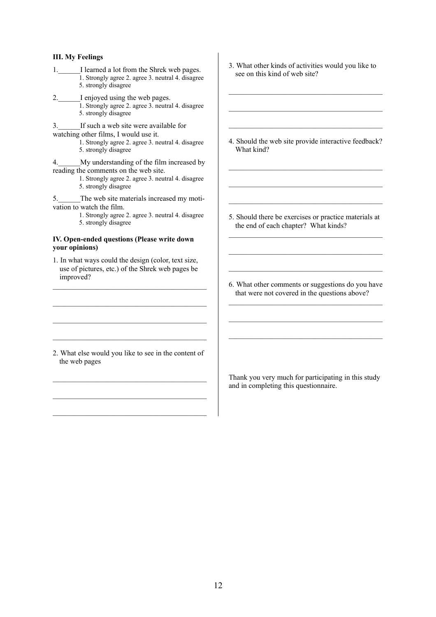#### **III. My Feelings**

- 1. I learned a lot from the Shrek web pages. 1. Strongly agree 2. agree 3. neutral 4. disagree
	- 5. strongly disagree
- 2. I enjoyed using the web pages.
	- 1. Strongly agree 2. agree 3. neutral 4. disagree 5. strongly disagree

3. If such a web site were available for watching other films, I would use it.

1. Strongly agree 2. agree 3. neutral 4. disagree 5. strongly disagree

4. My understanding of the film increased by reading the comments on the web site.

> 1. Strongly agree 2. agree 3. neutral 4. disagree 5. strongly disagree

5. The web site materials increased my motivation to watch the film.

1. Strongly agree 2. agree 3. neutral 4. disagree 5. strongly disagree

#### **IV. Open-ended questions (Please write down your opinions)**

1. In what ways could the design (color, text size, use of pictures, etc.) of the Shrek web pages be improved?

 $\mathcal{L}_\mathcal{L} = \mathcal{L}_\mathcal{L} = \mathcal{L}_\mathcal{L} = \mathcal{L}_\mathcal{L} = \mathcal{L}_\mathcal{L} = \mathcal{L}_\mathcal{L} = \mathcal{L}_\mathcal{L} = \mathcal{L}_\mathcal{L} = \mathcal{L}_\mathcal{L} = \mathcal{L}_\mathcal{L} = \mathcal{L}_\mathcal{L} = \mathcal{L}_\mathcal{L} = \mathcal{L}_\mathcal{L} = \mathcal{L}_\mathcal{L} = \mathcal{L}_\mathcal{L} = \mathcal{L}_\mathcal{L} = \mathcal{L}_\mathcal{L}$ 

 $\mathcal{L}_\mathcal{L} = \mathcal{L}_\mathcal{L} = \mathcal{L}_\mathcal{L} = \mathcal{L}_\mathcal{L} = \mathcal{L}_\mathcal{L} = \mathcal{L}_\mathcal{L} = \mathcal{L}_\mathcal{L} = \mathcal{L}_\mathcal{L} = \mathcal{L}_\mathcal{L} = \mathcal{L}_\mathcal{L} = \mathcal{L}_\mathcal{L} = \mathcal{L}_\mathcal{L} = \mathcal{L}_\mathcal{L} = \mathcal{L}_\mathcal{L} = \mathcal{L}_\mathcal{L} = \mathcal{L}_\mathcal{L} = \mathcal{L}_\mathcal{L}$ 

2. What else would you like to see in the content of the web pages

 $\mathcal{L}_\mathcal{L} = \mathcal{L}_\mathcal{L} = \mathcal{L}_\mathcal{L} = \mathcal{L}_\mathcal{L} = \mathcal{L}_\mathcal{L} = \mathcal{L}_\mathcal{L} = \mathcal{L}_\mathcal{L} = \mathcal{L}_\mathcal{L} = \mathcal{L}_\mathcal{L} = \mathcal{L}_\mathcal{L} = \mathcal{L}_\mathcal{L} = \mathcal{L}_\mathcal{L} = \mathcal{L}_\mathcal{L} = \mathcal{L}_\mathcal{L} = \mathcal{L}_\mathcal{L} = \mathcal{L}_\mathcal{L} = \mathcal{L}_\mathcal{L}$ 

 $\mathcal{L}_\text{max}$ 

 $\mathcal{L}_\mathcal{L} = \mathcal{L}_\mathcal{L} = \mathcal{L}_\mathcal{L} = \mathcal{L}_\mathcal{L} = \mathcal{L}_\mathcal{L} = \mathcal{L}_\mathcal{L} = \mathcal{L}_\mathcal{L} = \mathcal{L}_\mathcal{L} = \mathcal{L}_\mathcal{L} = \mathcal{L}_\mathcal{L} = \mathcal{L}_\mathcal{L} = \mathcal{L}_\mathcal{L} = \mathcal{L}_\mathcal{L} = \mathcal{L}_\mathcal{L} = \mathcal{L}_\mathcal{L} = \mathcal{L}_\mathcal{L} = \mathcal{L}_\mathcal{L}$ 

- 3. What other kinds of activities would you like to see on this kind of web site?
- 4. Should the web site provide interactive feedback? What kind?

 $\mathcal{L}_\text{max}$  and the contract of the contract of the contract of the contract of the contract of the contract of the contract of the contract of the contract of the contract of the contract of the contract of the contrac

\_\_\_\_\_\_\_\_\_\_\_\_\_\_\_\_\_\_\_\_\_\_\_\_\_\_\_\_\_\_\_\_\_\_\_\_\_\_\_\_\_\_

5. Should there be exercises or practice materials at the end of each chapter? What kinds?  $\mathcal{L}_\text{max}$  and the contract of the contract of the contract of the contract of the contract of the contract of the contract of the contract of the contract of the contract of the contract of the contract of the contrac

\_\_\_\_\_\_\_\_\_\_\_\_\_\_\_\_\_\_\_\_\_\_\_\_\_\_\_\_\_\_\_\_\_\_\_\_\_\_\_\_\_\_

 $\mathcal{L}_\text{max}$  and the contract of the contract of the contract of the contract of the contract of the contract of the contract of the contract of the contract of the contract of the contract of the contract of the contrac

\_\_\_\_\_\_\_\_\_\_\_\_\_\_\_\_\_\_\_\_\_\_\_\_\_\_\_\_\_\_\_\_\_\_\_\_\_\_\_\_\_\_

6. What other comments or suggestions do you have that were not covered in the questions above? \_\_\_\_\_\_\_\_\_\_\_\_\_\_\_\_\_\_\_\_\_\_\_\_\_\_\_\_\_\_\_\_\_\_\_\_\_\_\_\_\_\_

 $\mathcal{L}_\text{max}$  and the contract of the contract of the contract of the contract of the contract of the contract of the contract of the contract of the contract of the contract of the contract of the contract of the contrac

Thank you very much for participating in this study and in completing this questionnaire.